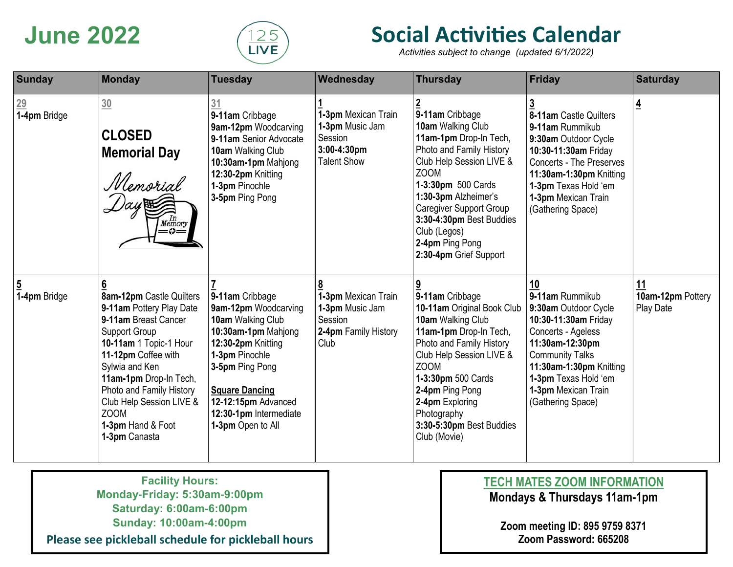

# **June 2022 Social Activities Calendar**

*Activities subject to change (updated 6/1/2022)*

| <b>Sunday</b>              | Monday                                                                                                                                                                                                                                                                                                  | <b>Tuesday</b>                                                                                                                                                                                                                                | Wednesday                                                                              | <b>Thursday</b>                                                                                                                                                                                                                                                                                                | <b>Friday</b>                                                                                                                                                                                                                           | <b>Saturday</b>                             |
|----------------------------|---------------------------------------------------------------------------------------------------------------------------------------------------------------------------------------------------------------------------------------------------------------------------------------------------------|-----------------------------------------------------------------------------------------------------------------------------------------------------------------------------------------------------------------------------------------------|----------------------------------------------------------------------------------------|----------------------------------------------------------------------------------------------------------------------------------------------------------------------------------------------------------------------------------------------------------------------------------------------------------------|-----------------------------------------------------------------------------------------------------------------------------------------------------------------------------------------------------------------------------------------|---------------------------------------------|
| $\frac{29}{1-4}$ pm Bridge | 30<br><b>CLOSED</b><br><b>Memorial Day</b><br>Memorial<br>$\frac{In}{Memory}$<br>$=\!\!\phi\!=\!\!$                                                                                                                                                                                                     | 31<br>9-11am Cribbage<br>9am-12pm Woodcarving<br>9-11am Senior Advocate<br>10am Walking Club<br>10:30am-1pm Mahjong<br>12:30-2pm Knitting<br>1-3pm Pinochle<br>3-5pm Ping Pong                                                                | 1-3pm Mexican Train<br>1-3pm Music Jam<br>Session<br>3:00-4:30pm<br><b>Talent Show</b> | 9-11am Cribbage<br>10am Walking Club<br>11am-1pm Drop-In Tech,<br>Photo and Family History<br>Club Help Session LIVE &<br><b>ZOOM</b><br>1-3:30pm 500 Cards<br>1:30-3pm Alzheimer's<br><b>Caregiver Support Group</b><br>3:30-4:30pm Best Buddies<br>Club (Legos)<br>2-4pm Ping Pong<br>2:30-4pm Grief Support | 8-11am Castle Quilters<br>9-11am Rummikub<br>9:30am Outdoor Cycle<br>10:30-11:30am Friday<br><b>Concerts - The Preserves</b><br>11:30am-1:30pm Knitting<br>1-3pm Texas Hold 'em<br>1-3pm Mexican Train<br>(Gathering Space)             | $\overline{4}$                              |
| <u>5</u><br>1-4pm Bridge   | 8am-12pm Castle Quilters<br>9-11am Pottery Play Date<br>9-11am Breast Cancer<br>Support Group<br>10-11am 1 Topic-1 Hour<br>11-12pm Coffee with<br>Sylwia and Ken<br>11am-1pm Drop-In Tech,<br>Photo and Family History<br>Club Help Session LIVE &<br><b>ZOOM</b><br>1-3pm Hand & Foot<br>1-3pm Canasta | 9-11am Cribbage<br>9am-12pm Woodcarving<br>10am Walking Club<br>10:30am-1pm Mahjong<br>12:30-2pm Knitting<br>1-3pm Pinochle<br>3-5pm Ping Pong<br><b>Square Dancing</b><br>12-12:15pm Advanced<br>12:30-1pm Intermediate<br>1-3pm Open to All | 1-3pm Mexican Train<br>1-3pm Music Jam<br>Session<br>2-4pm Family History<br>Club      | 9-11am Cribbage<br>10-11am Original Book Club<br>10am Walking Club<br>11am-1pm Drop-In Tech,<br>Photo and Family History<br>Club Help Session LIVE &<br>ZOOM<br>1-3:30pm 500 Cards<br>2-4pm Ping Pong<br>2-4pm Exploring<br>Photography<br>3:30-5:30pm Best Buddies<br>Club (Movie)                            | 10<br>9-11am Rummikub<br>9:30am Outdoor Cycle<br>10:30-11:30am Friday<br>Concerts - Ageless<br>11:30am-12:30pm<br><b>Community Talks</b><br>11:30am-1:30pm Knitting<br>1-3pm Texas Hold 'em<br>1-3pm Mexican Train<br>(Gathering Space) | 11<br>10am-12pm Pottery<br><b>Play Date</b> |

**Facility Hours: Monday-Friday: 5:30am-9:00pm Saturday: 6:00am-6:00pm Sunday: 10:00am-4:00pm**

**Please see pickleball schedule for pickleball hours**

### **TECH MATES ZOOM INFORMATION**

**Mondays & Thursdays 11am-1pm**

**Zoom meeting ID: 895 9759 8371 Zoom Password: 665208**